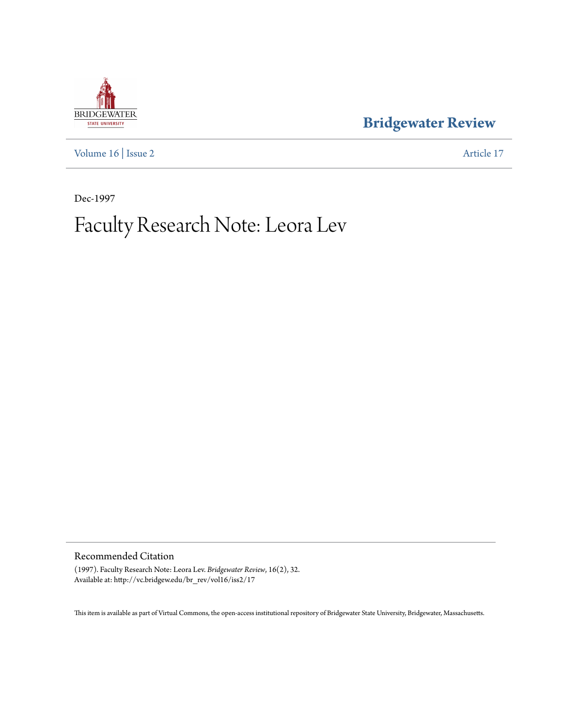

**[Bridgewater Review](http://vc.bridgew.edu/br_rev)**

[Volume 16](http://vc.bridgew.edu/br_rev/vol16) | [Issue 2](http://vc.bridgew.edu/br_rev/vol16/iss2) [Article 17](http://vc.bridgew.edu/br_rev/vol16/iss2/17)

Dec-1997

## Faculty Research Note: Leora Lev

Recommended Citation

(1997). Faculty Research Note: Leora Lev. *Bridgewater Review*, 16(2), 32. Available at: http://vc.bridgew.edu/br\_rev/vol16/iss2/17

This item is available as part of Virtual Commons, the open-access institutional repository of Bridgewater State University, Bridgewater, Massachusetts.